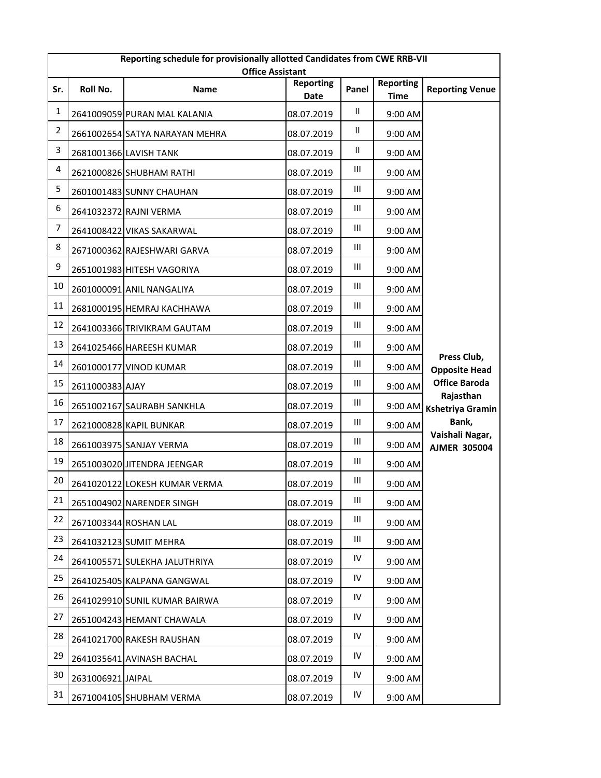|                | Reporting schedule for provisionally allotted Candidates from CWE RRB-VII<br><b>Office Assistant</b> |                                |                          |               |                                 |                                        |  |
|----------------|------------------------------------------------------------------------------------------------------|--------------------------------|--------------------------|---------------|---------------------------------|----------------------------------------|--|
| Sr.            | Roll No.                                                                                             | Name                           | <b>Reporting</b><br>Date | Panel         | <b>Reporting</b><br><b>Time</b> | <b>Reporting Venue</b>                 |  |
| $\mathbf{1}$   |                                                                                                      | 2641009059 PURAN MAL KALANIA   | 08.07.2019               | Ш             | 9:00 AM                         |                                        |  |
| $\overline{2}$ |                                                                                                      | 2661002654 SATYA NARAYAN MEHRA | 08.07.2019               | Ш             | 9:00 AM                         |                                        |  |
| 3              |                                                                                                      | 2681001366 LAVISH TANK         | 08.07.2019               | $\mathbf{II}$ | 9:00 AM                         |                                        |  |
| 4              |                                                                                                      | 2621000826 SHUBHAM RATHI       | 08.07.2019               | Ш             | 9:00 AM                         |                                        |  |
| 5              |                                                                                                      | 2601001483 SUNNY CHAUHAN       | 08.07.2019               | Ш             | 9:00 AM                         |                                        |  |
| 6              |                                                                                                      | 2641032372 RAJNI VERMA         | 08.07.2019               | Ш             | 9:00 AM                         |                                        |  |
| $\overline{7}$ |                                                                                                      | 2641008422 VIKAS SAKARWAL      | 08.07.2019               | Ш             | 9:00 AM                         |                                        |  |
| 8              |                                                                                                      | 2671000362 RAJESHWARI GARVA    | 08.07.2019               | Ш             | 9:00 AM                         |                                        |  |
| 9              |                                                                                                      | 2651001983 HITESH VAGORIYA     | 08.07.2019               | Ш             | 9:00 AM                         |                                        |  |
| $10\,$         |                                                                                                      | 2601000091 ANIL NANGALIYA      | 08.07.2019               | Ш             | 9:00 AM                         |                                        |  |
| 11             |                                                                                                      | 2681000195 HEMRAJ KACHHAWA     | 08.07.2019               | Ш             | 9:00 AM                         |                                        |  |
| 12             |                                                                                                      | 2641003366 TRIVIKRAM GAUTAM    | 08.07.2019               | Ш             | 9:00 AM                         |                                        |  |
| 13             |                                                                                                      | 2641025466 HAREESH KUMAR       | 08.07.2019               | Ш             | 9:00 AM                         |                                        |  |
| 14             |                                                                                                      | 2601000177 VINOD KUMAR         | 08.07.2019               | Ш             | 9:00 AM                         | Press Club,<br><b>Opposite Head</b>    |  |
| 15             | 2611000383 AJAY                                                                                      |                                | 08.07.2019               | Ш             | 9:00 AM                         | <b>Office Baroda</b>                   |  |
| 16             |                                                                                                      | 2651002167 SAURABH SANKHLA     | 08.07.2019               | Ш             | 9:00 AM                         | Rajasthan<br><b>Kshetriya Gramin</b>   |  |
| 17             |                                                                                                      | 2621000828 KAPIL BUNKAR        | 08.07.2019               | Ш             | 9:00 AM                         | Bank,                                  |  |
| 18             |                                                                                                      | 2661003975 SANJAY VERMA        | 08.07.2019               | Ш             | 9:00 AM                         | Vaishali Nagar,<br><b>AJMER 305004</b> |  |
| 19             |                                                                                                      | 2651003020 JITENDRA JEENGAR    | 08.07.2019               | Ш             | 9:00 AM                         |                                        |  |
| 20             |                                                                                                      | 2641020122 LOKESH KUMAR VERMA  | 08.07.2019               | Ш             | 9:00 AM                         |                                        |  |
| 21             |                                                                                                      | 2651004902 NARENDER SINGH      | 08.07.2019               | Ш             | 9:00 AM                         |                                        |  |
| 22             |                                                                                                      | 2671003344 ROSHAN LAL          | 08.07.2019               | Ш             | 9:00 AM                         |                                        |  |
| 23             |                                                                                                      | 2641032123 SUMIT MEHRA         | 08.07.2019               | Ш             | 9:00 AM                         |                                        |  |
| 24             |                                                                                                      | 2641005571 SULEKHA JALUTHRIYA  | 08.07.2019               | IV            | 9:00 AM                         |                                        |  |
| 25             |                                                                                                      | 2641025405 KALPANA GANGWAL     | 08.07.2019               | IV            | 9:00 AM                         |                                        |  |
| 26             |                                                                                                      | 2641029910 SUNIL KUMAR BAIRWA  | 08.07.2019               | IV            | 9:00 AM                         |                                        |  |
| 27             |                                                                                                      | 2651004243 HEMANT CHAWALA      | 08.07.2019               | IV            | 9:00 AM                         |                                        |  |
| 28             |                                                                                                      | 2641021700 RAKESH RAUSHAN      | 08.07.2019               | IV            | 9:00 AM                         |                                        |  |
| 29             |                                                                                                      | 2641035641 AVINASH BACHAL      | 08.07.2019               | IV            | 9:00 AM                         |                                        |  |
| 30             | 2631006921 JAIPAL                                                                                    |                                | 08.07.2019               | IV            | 9:00 AM                         |                                        |  |
| 31             |                                                                                                      | 2671004105 SHUBHAM VERMA       | 08.07.2019               | IV            | 9:00 AM                         |                                        |  |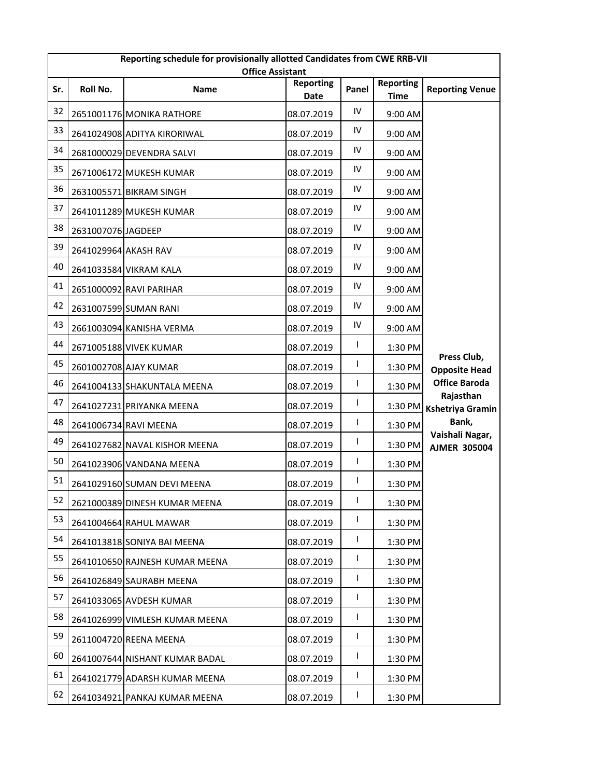|     | Reporting schedule for provisionally allotted Candidates from CWE RRB-VII<br><b>Office Assistant</b> |                                |                          |            |                                 |                                        |  |  |
|-----|------------------------------------------------------------------------------------------------------|--------------------------------|--------------------------|------------|---------------------------------|----------------------------------------|--|--|
| Sr. | Roll No.                                                                                             | Name                           | <b>Reporting</b><br>Date | Panel      | <b>Reporting</b><br><b>Time</b> | <b>Reporting Venue</b>                 |  |  |
| 32  |                                                                                                      | 2651001176 MONIKA RATHORE      | 08.07.2019               | ${\sf IV}$ | 9:00 AM                         |                                        |  |  |
| 33  |                                                                                                      | 2641024908 ADITYA KIRORIWAL    | 08.07.2019               | IV         | 9:00 AM                         |                                        |  |  |
| 34  |                                                                                                      | 2681000029 DEVENDRA SALVI      | 08.07.2019               | IV         | 9:00 AM                         |                                        |  |  |
| 35  |                                                                                                      | 2671006172 MUKESH KUMAR        | 08.07.2019               | IV         | 9:00 AM                         |                                        |  |  |
| 36  |                                                                                                      | 2631005571 BIKRAM SINGH        | 08.07.2019               | IV         | 9:00 AM                         |                                        |  |  |
| 37  |                                                                                                      | 2641011289 MUKESH KUMAR        | 08.07.2019               | IV         | 9:00 AM                         |                                        |  |  |
| 38  | 2631007076 JAGDEEP                                                                                   |                                | 08.07.2019               | IV         | 9:00 AM                         |                                        |  |  |
| 39  | 2641029964 AKASH RAV                                                                                 |                                | 08.07.2019               | IV         | 9:00 AM                         |                                        |  |  |
| 40  |                                                                                                      | 2641033584 VIKRAM KALA         | 08.07.2019               | IV         | 9:00 AM                         |                                        |  |  |
| 41  |                                                                                                      | 2651000092 RAVI PARIHAR        | 08.07.2019               | IV         | 9:00 AM                         |                                        |  |  |
| 42  |                                                                                                      | 2631007599 SUMAN RANI          | 08.07.2019               | IV         | 9:00 AM                         |                                        |  |  |
| 43  |                                                                                                      | 2661003094 KANISHA VERMA       | 08.07.2019               | IV         | 9:00 AM                         |                                        |  |  |
| 44  |                                                                                                      | 2671005188 VIVEK KUMAR         | 08.07.2019               | L          | 1:30 PM                         |                                        |  |  |
| 45  |                                                                                                      | 2601002708 AJAY KUMAR          | 08.07.2019               | L          | 1:30 PM                         | Press Club,<br><b>Opposite Head</b>    |  |  |
| 46  |                                                                                                      | 2641004133 SHAKUNTALA MEENA    | 08.07.2019               | L          | 1:30 PM                         | <b>Office Baroda</b>                   |  |  |
| 47  |                                                                                                      | 2641027231 PRIYANKA MEENA      | 08.07.2019               | I          | 1:30 PM                         | Rajasthan<br><b>Kshetriya Gramin</b>   |  |  |
| 48  |                                                                                                      | 2641006734 RAVI MEENA          | 08.07.2019               | L          | 1:30 PM                         | Bank,                                  |  |  |
| 49  |                                                                                                      | 2641027682 NAVAL KISHOR MEENA  | 08.07.2019               | L          | 1:30 PM                         | Vaishali Nagar,<br><b>AJMER 305004</b> |  |  |
| 50  |                                                                                                      | 2641023906 VANDANA MEENA       | 08.07.2019               | I          | 1:30 PM                         |                                        |  |  |
| 51  |                                                                                                      | 2641029160 SUMAN DEVI MEENA    | 08.07.2019               | I          | 1:30 PM                         |                                        |  |  |
| 52  |                                                                                                      | 2621000389 DINESH KUMAR MEENA  | 08.07.2019               | L          | 1:30 PM                         |                                        |  |  |
| 53  |                                                                                                      | 2641004664 RAHUL MAWAR         | 08.07.2019               | I          | 1:30 PM                         |                                        |  |  |
| 54  |                                                                                                      | 2641013818 SONIYA BAI MEENA    | 08.07.2019               | L          | 1:30 PM                         |                                        |  |  |
| 55  |                                                                                                      | 2641010650 RAJNESH KUMAR MEENA | 08.07.2019               | L          | 1:30 PM                         |                                        |  |  |
| 56  |                                                                                                      | 2641026849 SAURABH MEENA       | 08.07.2019               | L          | 1:30 PM                         |                                        |  |  |
| 57  |                                                                                                      | 2641033065 AVDESH KUMAR        | 08.07.2019               | I          | 1:30 PM                         |                                        |  |  |
| 58  |                                                                                                      | 2641026999 VIMLESH KUMAR MEENA | 08.07.2019               | L          | 1:30 PM                         |                                        |  |  |
| 59  |                                                                                                      | 2611004720 REENA MEENA         | 08.07.2019               | L          | 1:30 PM                         |                                        |  |  |
| 60  |                                                                                                      | 2641007644 NISHANT KUMAR BADAL | 08.07.2019               | I          | 1:30 PM                         |                                        |  |  |
| 61  |                                                                                                      | 2641021779 ADARSH KUMAR MEENA  | 08.07.2019               | L          | 1:30 PM                         |                                        |  |  |
| 62  |                                                                                                      | 2641034921 PANKAJ KUMAR MEENA  | 08.07.2019               | L          | 1:30 PM                         |                                        |  |  |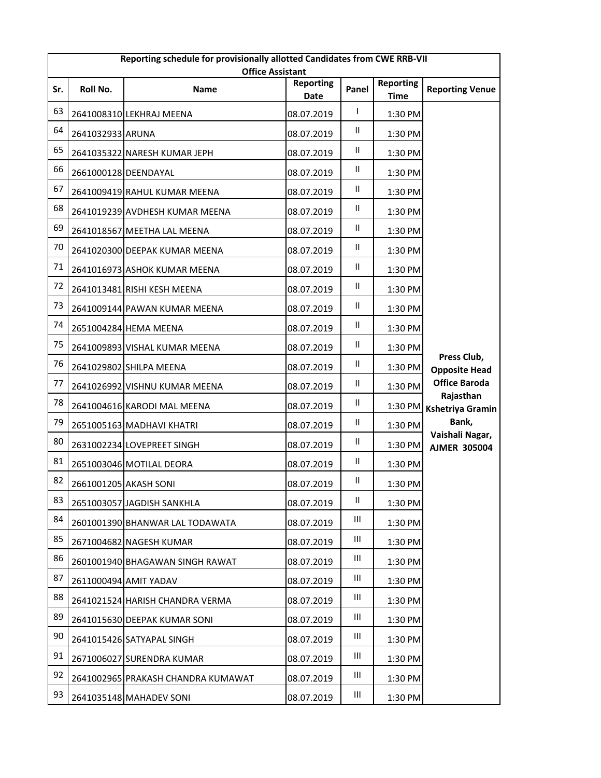|     | Reporting schedule for provisionally allotted Candidates from CWE RRB-VII<br><b>Office Assistant</b> |                                    |                          |               |                                 |                                        |  |  |
|-----|------------------------------------------------------------------------------------------------------|------------------------------------|--------------------------|---------------|---------------------------------|----------------------------------------|--|--|
| Sr. | Roll No.                                                                                             | Name                               | <b>Reporting</b><br>Date | Panel         | <b>Reporting</b><br><b>Time</b> | <b>Reporting Venue</b>                 |  |  |
| 63  |                                                                                                      | 2641008310 LEKHRAJ MEENA           | 08.07.2019               | L             | 1:30 PM                         |                                        |  |  |
| 64  | 2641032933 ARUNA                                                                                     |                                    | 08.07.2019               | Ш             | 1:30 PM                         |                                        |  |  |
| 65  |                                                                                                      | 2641035322 NARESH KUMAR JEPH       | 08.07.2019               | Ш             | 1:30 PM                         |                                        |  |  |
| 66  | 2661000128 DEENDAYAL                                                                                 |                                    | 08.07.2019               | Ш             | 1:30 PM                         |                                        |  |  |
| 67  |                                                                                                      | 2641009419 RAHUL KUMAR MEENA       | 08.07.2019               | $\mathsf{II}$ | 1:30 PM                         |                                        |  |  |
| 68  |                                                                                                      | 2641019239 AVDHESH KUMAR MEENA     | 08.07.2019               | Ш             | 1:30 PM                         |                                        |  |  |
| 69  |                                                                                                      | 2641018567 MEETHA LAL MEENA        | 08.07.2019               | $\mathsf{II}$ | 1:30 PM                         |                                        |  |  |
| 70  |                                                                                                      | 2641020300 DEEPAK KUMAR MEENA      | 08.07.2019               | Ш             | 1:30 PM                         |                                        |  |  |
| 71  |                                                                                                      | 2641016973 ASHOK KUMAR MEENA       | 08.07.2019               | Ш.            | 1:30 PM                         |                                        |  |  |
| 72  |                                                                                                      | 2641013481 RISHI KESH MEENA        | 08.07.2019               | $\mathsf{II}$ | 1:30 PM                         |                                        |  |  |
| 73  |                                                                                                      | 2641009144 PAWAN KUMAR MEENA       | 08.07.2019               | Ш             | 1:30 PM                         |                                        |  |  |
| 74  |                                                                                                      | 2651004284 HEMA MEENA              | 08.07.2019               | $\mathsf{II}$ | 1:30 PM                         |                                        |  |  |
| 75  |                                                                                                      | 2641009893 VISHAL KUMAR MEENA      | 08.07.2019               | $\mathsf{II}$ | 1:30 PM                         |                                        |  |  |
| 76  |                                                                                                      | 2641029802 SHILPA MEENA            | 08.07.2019               | Ш.            | 1:30 PM                         | Press Club,<br><b>Opposite Head</b>    |  |  |
| 77  |                                                                                                      | 2641026992 VISHNU KUMAR MEENA      | 08.07.2019               | $\mathsf{II}$ | 1:30 PM                         | <b>Office Baroda</b>                   |  |  |
| 78  |                                                                                                      | 2641004616 KARODI MAL MEENA        | 08.07.2019               | Ш             | 1:30 PM                         | Rajasthan<br><b>Kshetriya Gramin</b>   |  |  |
| 79  |                                                                                                      | 2651005163 MADHAVI KHATRI          | 08.07.2019               | Ш             | 1:30 PM                         | Bank,                                  |  |  |
| 80  |                                                                                                      | 2631002234 LOVEPREET SINGH         | 08.07.2019               | Ш             | 1:30 PM                         | Vaishali Nagar,<br><b>AJMER 305004</b> |  |  |
| 81  |                                                                                                      | 2651003046 MOTILAL DEORA           | 08.07.2019               | Ш             | 1:30 PM                         |                                        |  |  |
| 82  | 2661001205 AKASH SONI                                                                                |                                    | 08.07.2019               | Ш             | 1:30 PM                         |                                        |  |  |
| 83  |                                                                                                      | 2651003057 JAGDISH SANKHLA         | 08.07.2019               | Ш             | 1:30 PM                         |                                        |  |  |
| 84  |                                                                                                      | 2601001390 BHANWAR LAL TODAWATA    | 08.07.2019               | Ш             | 1:30 PM                         |                                        |  |  |
| 85  |                                                                                                      | 2671004682 NAGESH KUMAR            | 08.07.2019               | Ш             | 1:30 PM                         |                                        |  |  |
| 86  |                                                                                                      | 2601001940 BHAGAWAN SINGH RAWAT    | 08.07.2019               | Ш             | 1:30 PM                         |                                        |  |  |
| 87  |                                                                                                      | 2611000494 AMIT YADAV              | 08.07.2019               | Ш             | 1:30 PM                         |                                        |  |  |
| 88  |                                                                                                      | 2641021524 HARISH CHANDRA VERMA    | 08.07.2019               | Ш             | 1:30 PM                         |                                        |  |  |
| 89  |                                                                                                      | 2641015630 DEEPAK KUMAR SONI       | 08.07.2019               | Ш             | 1:30 PM                         |                                        |  |  |
| 90  |                                                                                                      | 2641015426 SATYAPAL SINGH          | 08.07.2019               | Ш             | 1:30 PM                         |                                        |  |  |
| 91  |                                                                                                      | 2671006027 SURENDRA KUMAR          | 08.07.2019               | Ш             | 1:30 PM                         |                                        |  |  |
| 92  |                                                                                                      | 2641002965 PRAKASH CHANDRA KUMAWAT | 08.07.2019               | Ш             | 1:30 PM                         |                                        |  |  |
| 93  |                                                                                                      | 2641035148 MAHADEV SONI            | 08.07.2019               | Ш             | 1:30 PM                         |                                        |  |  |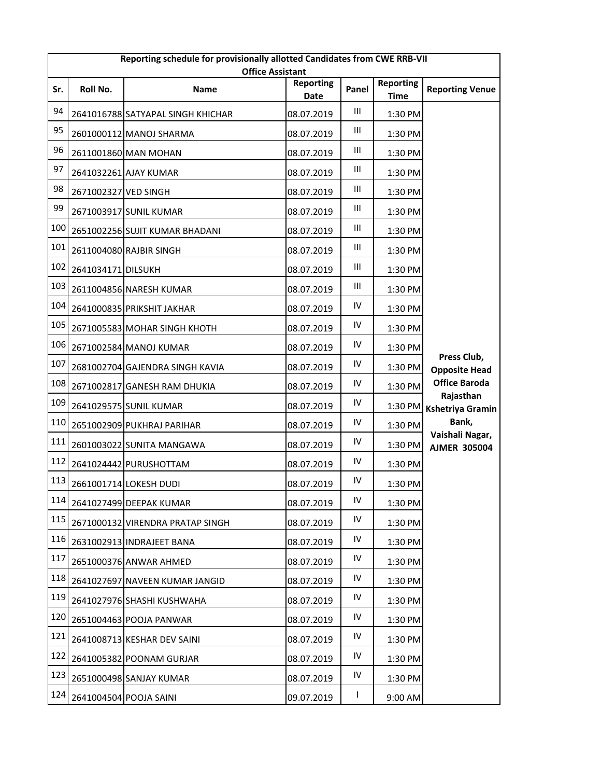|     | Reporting schedule for provisionally allotted Candidates from CWE RRB-VII<br><b>Office Assistant</b> |                                   |                          |                                    |                                 |                                        |  |  |
|-----|------------------------------------------------------------------------------------------------------|-----------------------------------|--------------------------|------------------------------------|---------------------------------|----------------------------------------|--|--|
| Sr. | Roll No.                                                                                             | Name                              | <b>Reporting</b><br>Date | Panel                              | <b>Reporting</b><br><b>Time</b> | <b>Reporting Venue</b>                 |  |  |
| 94  |                                                                                                      | 2641016788 SATYAPAL SINGH KHICHAR | 08.07.2019               | Ш                                  | 1:30 PM                         |                                        |  |  |
| 95  |                                                                                                      | 2601000112 MANOJ SHARMA           | 08.07.2019               | Ш                                  | 1:30 PM                         |                                        |  |  |
| 96  |                                                                                                      | 2611001860 MAN MOHAN              | 08.07.2019               | Ш                                  | 1:30 PM                         |                                        |  |  |
| 97  |                                                                                                      | 2641032261 AJAY KUMAR             | 08.07.2019               | Ш                                  | 1:30 PM                         |                                        |  |  |
| 98  | 2671002327 VED SINGH                                                                                 |                                   | 08.07.2019               | Ш                                  | 1:30 PM                         |                                        |  |  |
| 99  |                                                                                                      | 2671003917 SUNIL KUMAR            | 08.07.2019               | Ш                                  | 1:30 PM                         |                                        |  |  |
| 100 |                                                                                                      | 2651002256 SUJIT KUMAR BHADANI    | 08.07.2019               | Ш                                  | 1:30 PM                         |                                        |  |  |
| 101 |                                                                                                      | 2611004080 RAJBIR SINGH           | 08.07.2019               | Ш                                  | 1:30 PM                         |                                        |  |  |
| 102 | 2641034171 DILSUKH                                                                                   |                                   | 08.07.2019               | Ш                                  | 1:30 PM                         |                                        |  |  |
| 103 |                                                                                                      | 2611004856 NARESH KUMAR           | 08.07.2019               | $\ensuremath{\mathsf{III}}\xspace$ | 1:30 PM                         |                                        |  |  |
| 104 |                                                                                                      | 2641000835 PRIKSHIT JAKHAR        | 08.07.2019               | IV                                 | 1:30 PM                         |                                        |  |  |
| 105 |                                                                                                      | 2671005583 MOHAR SINGH KHOTH      | 08.07.2019               | IV                                 | 1:30 PM                         |                                        |  |  |
| 106 |                                                                                                      | 2671002584 MANOJ KUMAR            | 08.07.2019               | IV                                 | 1:30 PM                         |                                        |  |  |
| 107 |                                                                                                      | 2681002704 GAJENDRA SINGH KAVIA   | 08.07.2019               | IV                                 | 1:30 PM                         | Press Club,<br><b>Opposite Head</b>    |  |  |
| 108 |                                                                                                      | 2671002817 GANESH RAM DHUKIA      | 08.07.2019               | IV                                 | 1:30 PM                         | <b>Office Baroda</b>                   |  |  |
| 109 |                                                                                                      | 2641029575 SUNIL KUMAR            | 08.07.2019               | ${\sf IV}$                         | 1:30 PM                         | Rajasthan<br><b>Kshetriya Gramin</b>   |  |  |
| 110 |                                                                                                      | 2651002909 PUKHRAJ PARIHAR        | 08.07.2019               | IV                                 | 1:30 PM                         | Bank,                                  |  |  |
| 111 |                                                                                                      | 2601003022 SUNITA MANGAWA         | 08.07.2019               | IV                                 | 1:30 PM                         | Vaishali Nagar,<br><b>AJMER 305004</b> |  |  |
| 112 |                                                                                                      | 2641024442 PURUSHOTTAM            | 08.07.2019               | ${\sf IV}$                         | 1:30 PM                         |                                        |  |  |
| 113 |                                                                                                      | 2661001714 LOKESH DUDI            | 08.07.2019               | IV                                 | 1:30 PM                         |                                        |  |  |
| 114 |                                                                                                      | 2641027499 DEEPAK KUMAR           | 08.07.2019               | IV                                 | 1:30 PM                         |                                        |  |  |
| 115 |                                                                                                      | 2671000132 VIRENDRA PRATAP SINGH  | 08.07.2019               | IV                                 | 1:30 PM                         |                                        |  |  |
| 116 |                                                                                                      | 2631002913 INDRAJEET BANA         | 08.07.2019               | ${\sf IV}$                         | 1:30 PM                         |                                        |  |  |
| 117 |                                                                                                      | 2651000376 ANWAR AHMED            | 08.07.2019               | IV                                 | 1:30 PM                         |                                        |  |  |
| 118 |                                                                                                      | 2641027697 NAVEEN KUMAR JANGID    | 08.07.2019               | IV                                 | 1:30 PM                         |                                        |  |  |
| 119 |                                                                                                      | 2641027976 SHASHI KUSHWAHA        | 08.07.2019               | ${\sf IV}$                         | 1:30 PM                         |                                        |  |  |
| 120 |                                                                                                      | 2651004463 POOJA PANWAR           | 08.07.2019               | IV                                 | 1:30 PM                         |                                        |  |  |
| 121 |                                                                                                      | 2641008713 KESHAR DEV SAINI       | 08.07.2019               | IV                                 | 1:30 PM                         |                                        |  |  |
| 122 |                                                                                                      | 2641005382 POONAM GURJAR          | 08.07.2019               | IV                                 | 1:30 PM                         |                                        |  |  |
| 123 |                                                                                                      | 2651000498 SANJAY KUMAR           | 08.07.2019               | IV                                 | 1:30 PM                         |                                        |  |  |
| 124 |                                                                                                      | 2641004504 POOJA SAINI            | 09.07.2019               | L                                  | 9:00 AM                         |                                        |  |  |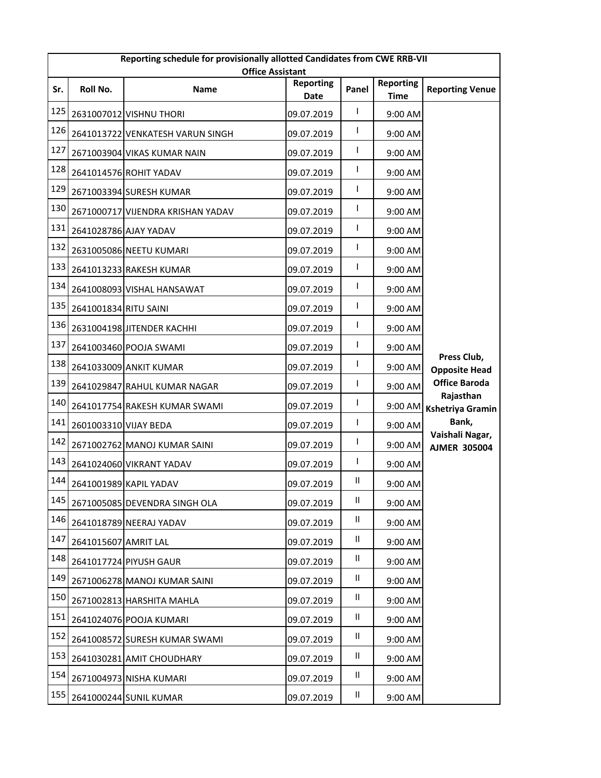|     | Reporting schedule for provisionally allotted Candidates from CWE RRB-VII<br><b>Office Assistant</b> |                                   |                          |               |                                 |                                        |  |  |
|-----|------------------------------------------------------------------------------------------------------|-----------------------------------|--------------------------|---------------|---------------------------------|----------------------------------------|--|--|
| Sr. | Roll No.                                                                                             | Name                              | <b>Reporting</b><br>Date | Panel         | <b>Reporting</b><br><b>Time</b> | <b>Reporting Venue</b>                 |  |  |
| 125 |                                                                                                      | 2631007012 VISHNU THORI           | 09.07.2019               | L             | 9:00 AM                         |                                        |  |  |
| 126 |                                                                                                      | 2641013722 VENKATESH VARUN SINGH  | 09.07.2019               | I             | 9:00 AM                         |                                        |  |  |
| 127 |                                                                                                      | 2671003904 VIKAS KUMAR NAIN       | 09.07.2019               | L             | 9:00 AM                         |                                        |  |  |
| 128 |                                                                                                      | 2641014576 ROHIT YADAV            | 09.07.2019               | L             | 9:00 AM                         |                                        |  |  |
| 129 |                                                                                                      | 2671003394 SURESH KUMAR           | 09.07.2019               | I             | 9:00 AM                         |                                        |  |  |
| 130 |                                                                                                      | 2671000717 VIJENDRA KRISHAN YADAV | 09.07.2019               | L             | 9:00 AM                         |                                        |  |  |
| 131 | 2641028786 AJAY YADAV                                                                                |                                   | 09.07.2019               | L             | 9:00 AM                         |                                        |  |  |
| 132 |                                                                                                      | 2631005086 NEETU KUMARI           | 09.07.2019               | L             | 9:00 AM                         |                                        |  |  |
| 133 |                                                                                                      | 2641013233 RAKESH KUMAR           | 09.07.2019               | I             | 9:00 AM                         |                                        |  |  |
| 134 |                                                                                                      | 2641008093 VISHAL HANSAWAT        | 09.07.2019               | L             | 9:00 AM                         |                                        |  |  |
| 135 | 2641001834 RITU SAINI                                                                                |                                   | 09.07.2019               | L             | 9:00 AM                         |                                        |  |  |
| 136 |                                                                                                      | 2631004198 JITENDER KACHHI        | 09.07.2019               | I             | 9:00 AM                         |                                        |  |  |
| 137 |                                                                                                      | 2641003460 POOJA SWAMI            | 09.07.2019               | L             | 9:00 AM                         |                                        |  |  |
| 138 |                                                                                                      | 2641033009 ANKIT KUMAR            | 09.07.2019               | L             | 9:00 AM                         | Press Club,<br><b>Opposite Head</b>    |  |  |
| 139 |                                                                                                      | 2641029847 RAHUL KUMAR NAGAR      | 09.07.2019               | L             | 9:00 AM                         | <b>Office Baroda</b>                   |  |  |
| 140 |                                                                                                      | 2641017754 RAKESH KUMAR SWAMI     | 09.07.2019               | I             | 9:00 AM                         | Rajasthan<br><b>Kshetriya Gramin</b>   |  |  |
| 141 | 2601003310 VIJAY BEDA                                                                                |                                   | 09.07.2019               | L             | 9:00 AM                         | Bank,                                  |  |  |
| 142 |                                                                                                      | 2671002762 MANOJ KUMAR SAINI      | 09.07.2019               | L             | 9:00 AM                         | Vaishali Nagar,<br><b>AJMER 305004</b> |  |  |
| 143 |                                                                                                      | 2641024060 VIKRANT YADAV          | 09.07.2019               | L             | 9:00 AM                         |                                        |  |  |
| 144 |                                                                                                      | 2641001989 KAPIL YADAV            | 09.07.2019               | Ш             | 9:00 AM                         |                                        |  |  |
| 145 |                                                                                                      | 2671005085 DEVENDRA SINGH OLA     | 09.07.2019               | Ш             | 9:00 AM                         |                                        |  |  |
| 146 |                                                                                                      | 2641018789 NEERAJ YADAV           | 09.07.2019               | Ш             | 9:00 AM                         |                                        |  |  |
| 147 | 2641015607 AMRIT LAL                                                                                 |                                   | 09.07.2019               | Ш             | 9:00 AM                         |                                        |  |  |
| 148 |                                                                                                      | 2641017724 PIYUSH GAUR            | 09.07.2019               | Ш             | 9:00 AM                         |                                        |  |  |
| 149 |                                                                                                      | 2671006278 MANOJ KUMAR SAINI      | 09.07.2019               | Ш             | 9:00 AM                         |                                        |  |  |
| 150 |                                                                                                      | 2671002813 HARSHITA MAHLA         | 09.07.2019               | Ш             | 9:00 AM                         |                                        |  |  |
| 151 |                                                                                                      | 2641024076 POOJA KUMARI           | 09.07.2019               | $\mathsf{II}$ | 9:00 AM                         |                                        |  |  |
| 152 |                                                                                                      | 2641008572 SURESH KUMAR SWAMI     | 09.07.2019               | Ш             | 9:00 AM                         |                                        |  |  |
| 153 |                                                                                                      | 2641030281 AMIT CHOUDHARY         | 09.07.2019               | Ш             | 9:00 AM                         |                                        |  |  |
| 154 |                                                                                                      | 2671004973 NISHA KUMARI           | 09.07.2019               | Ш             | 9:00 AM                         |                                        |  |  |
| 155 |                                                                                                      | 2641000244 SUNIL KUMAR            | 09.07.2019               | Ш             | 9:00 AM                         |                                        |  |  |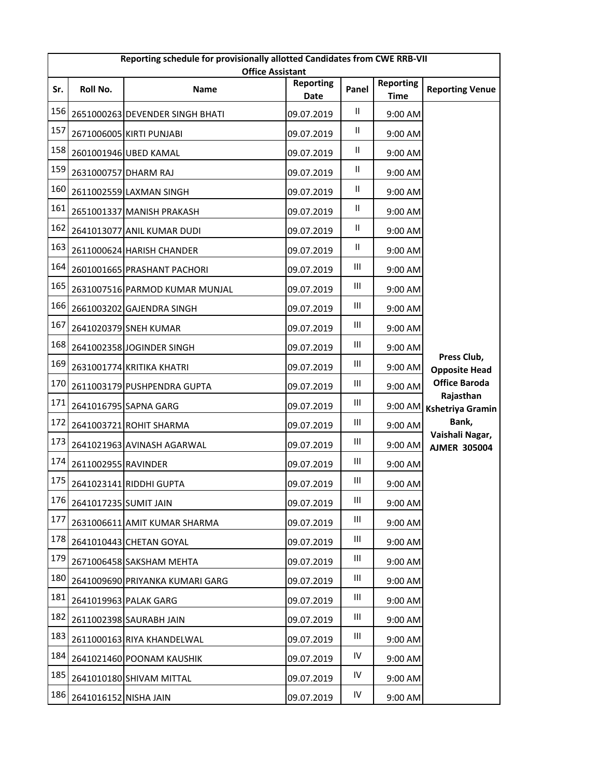|     | Reporting schedule for provisionally allotted Candidates from CWE RRB-VII<br><b>Office Assistant</b> |                                 |                          |                                    |                                 |                                        |  |  |
|-----|------------------------------------------------------------------------------------------------------|---------------------------------|--------------------------|------------------------------------|---------------------------------|----------------------------------------|--|--|
| Sr. | Roll No.                                                                                             | Name                            | <b>Reporting</b><br>Date | Panel                              | <b>Reporting</b><br><b>Time</b> | <b>Reporting Venue</b>                 |  |  |
| 156 |                                                                                                      | 2651000263 DEVENDER SINGH BHATI | 09.07.2019               | $\mathsf{II}$                      | 9:00 AM                         |                                        |  |  |
| 157 |                                                                                                      | 2671006005 KIRTI PUNJABI        | 09.07.2019               | Ш                                  | 9:00 AM                         |                                        |  |  |
| 158 |                                                                                                      | 2601001946 UBED KAMAL           | 09.07.2019               | Ш                                  | 9:00 AM                         |                                        |  |  |
| 159 | 2631000757 DHARM RAJ                                                                                 |                                 | 09.07.2019               | Ш                                  | 9:00 AM                         |                                        |  |  |
| 160 |                                                                                                      | 2611002559 LAXMAN SINGH         | 09.07.2019               | $\mathsf{II}$                      | 9:00 AM                         |                                        |  |  |
| 161 |                                                                                                      | 2651001337 MANISH PRAKASH       | 09.07.2019               | Ш                                  | 9:00 AM                         |                                        |  |  |
| 162 |                                                                                                      | 2641013077 ANIL KUMAR DUDI      | 09.07.2019               | Ш                                  | 9:00 AM                         |                                        |  |  |
| 163 |                                                                                                      | 2611000624 HARISH CHANDER       | 09.07.2019               | Ш                                  | 9:00 AM                         |                                        |  |  |
| 164 |                                                                                                      | 2601001665 PRASHANT PACHORI     | 09.07.2019               | Ш                                  | 9:00 AM                         |                                        |  |  |
| 165 |                                                                                                      | 2631007516 PARMOD KUMAR MUNJAL  | 09.07.2019               | Ш                                  | 9:00 AM                         |                                        |  |  |
| 166 |                                                                                                      | 2661003202 GAJENDRA SINGH       | 09.07.2019               | Ш                                  | 9:00 AM                         |                                        |  |  |
| 167 |                                                                                                      | 2641020379 SNEH KUMAR           | 09.07.2019               | Ш                                  | 9:00 AM                         |                                        |  |  |
| 168 |                                                                                                      | 2641002358 JOGINDER SINGH       | 09.07.2019               | $\ensuremath{\mathsf{III}}\xspace$ | 9:00 AM                         |                                        |  |  |
| 169 |                                                                                                      | 2631001774 KRITIKA KHATRI       | 09.07.2019               | Ш                                  | 9:00 AM                         | Press Club,<br><b>Opposite Head</b>    |  |  |
| 170 |                                                                                                      | 2611003179 PUSHPENDRA GUPTA     | 09.07.2019               | Ш                                  | 9:00 AM                         | <b>Office Baroda</b>                   |  |  |
| 171 |                                                                                                      | 2641016795 SAPNA GARG           | 09.07.2019               | Ш                                  | 9:00 AM                         | Rajasthan<br><b>Kshetriya Gramin</b>   |  |  |
| 172 |                                                                                                      | 2641003721 ROHIT SHARMA         | 09.07.2019               | Ш                                  | $9:00$ AM                       | Bank,                                  |  |  |
| 173 |                                                                                                      | 2641021963 AVINASH AGARWAL      | 09.07.2019               | Ш                                  | 9:00 AM                         | Vaishali Nagar,<br><b>AJMER 305004</b> |  |  |
| 174 | 2611002955 RAVINDER                                                                                  |                                 | 09.07.2019               | Ш                                  | 9:00 AM                         |                                        |  |  |
| 175 |                                                                                                      | 2641023141 RIDDHI GUPTA         | 09.07.2019               | Ш                                  | 9:00 AM                         |                                        |  |  |
| 176 | 2641017235 SUMIT JAIN                                                                                |                                 | 09.07.2019               | Ш                                  | 9:00 AM                         |                                        |  |  |
| 177 |                                                                                                      | 2631006611 AMIT KUMAR SHARMA    | 09.07.2019               | Ш                                  | 9:00 AM                         |                                        |  |  |
| 178 |                                                                                                      | 2641010443 CHETAN GOYAL         | 09.07.2019               | Ш                                  | 9:00 AM                         |                                        |  |  |
| 179 |                                                                                                      | 2671006458 SAKSHAM MEHTA        | 09.07.2019               | $\ensuremath{\mathsf{III}}\xspace$ | 9:00 AM                         |                                        |  |  |
| 180 |                                                                                                      | 2641009690 PRIYANKA KUMARI GARG | 09.07.2019               | Ш                                  | 9:00 AM                         |                                        |  |  |
| 181 |                                                                                                      | 2641019963 PALAK GARG           | 09.07.2019               | Ш                                  | 9:00 AM                         |                                        |  |  |
| 182 |                                                                                                      | 2611002398 SAURABH JAIN         | 09.07.2019               | Ш                                  | 9:00 AM                         |                                        |  |  |
| 183 |                                                                                                      | 2611000163 RIYA KHANDELWAL      | 09.07.2019               | Ш                                  | 9:00 AM                         |                                        |  |  |
| 184 |                                                                                                      | 2641021460 POONAM KAUSHIK       | 09.07.2019               | IV                                 | 9:00 AM                         |                                        |  |  |
| 185 |                                                                                                      | 2641010180 SHIVAM MITTAL        | 09.07.2019               | ${\sf IV}$                         | 9:00 AM                         |                                        |  |  |
| 186 | 2641016152 NISHA JAIN                                                                                |                                 | 09.07.2019               | IV                                 | 9:00 AM                         |                                        |  |  |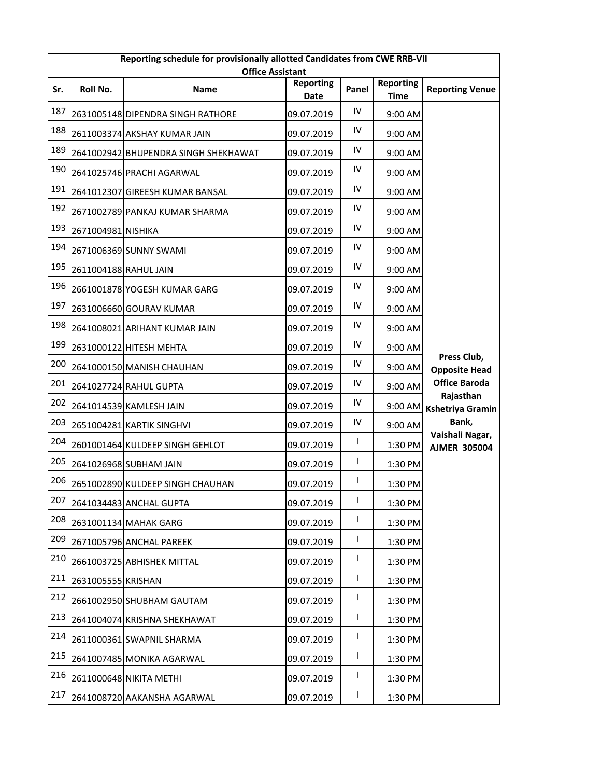|     | Reporting schedule for provisionally allotted Candidates from CWE RRB-VII<br><b>Office Assistant</b> |                                      |                          |            |                                 |                                        |  |  |
|-----|------------------------------------------------------------------------------------------------------|--------------------------------------|--------------------------|------------|---------------------------------|----------------------------------------|--|--|
| Sr. | Roll No.                                                                                             | Name                                 | <b>Reporting</b><br>Date | Panel      | <b>Reporting</b><br><b>Time</b> | <b>Reporting Venue</b>                 |  |  |
| 187 |                                                                                                      | 2631005148 DIPENDRA SINGH RATHORE    | 09.07.2019               | ${\sf IV}$ | 9:00 AM                         |                                        |  |  |
| 188 |                                                                                                      | 2611003374 AKSHAY KUMAR JAIN         | 09.07.2019               | IV         | 9:00 AM                         |                                        |  |  |
| 189 |                                                                                                      | 2641002942 BHUPENDRA SINGH SHEKHAWAT | 09.07.2019               | IV         | 9:00 AM                         |                                        |  |  |
| 190 |                                                                                                      | 2641025746 PRACHI AGARWAL            | 09.07.2019               | IV         | 9:00 AM                         |                                        |  |  |
| 191 |                                                                                                      | 2641012307 GIREESH KUMAR BANSAL      | 09.07.2019               | IV         | 9:00 AM                         |                                        |  |  |
| 192 |                                                                                                      | 2671002789 PANKAJ KUMAR SHARMA       | 09.07.2019               | IV         | 9:00 AM                         |                                        |  |  |
| 193 | 2671004981 NISHIKA                                                                                   |                                      | 09.07.2019               | ${\sf IV}$ | 9:00 AM                         |                                        |  |  |
| 194 |                                                                                                      | 2671006369 SUNNY SWAMI               | 09.07.2019               | IV         | 9:00 AM                         |                                        |  |  |
| 195 | 2611004188 RAHUL JAIN                                                                                |                                      | 09.07.2019               | IV         | 9:00 AM                         |                                        |  |  |
| 196 |                                                                                                      | 2661001878 YOGESH KUMAR GARG         | 09.07.2019               | IV         | 9:00 AM                         |                                        |  |  |
| 197 |                                                                                                      | 2631006660 GOURAV KUMAR              | 09.07.2019               | IV         | 9:00 AM                         |                                        |  |  |
| 198 |                                                                                                      | 2641008021 ARIHANT KUMAR JAIN        | 09.07.2019               | IV         | 9:00 AM                         |                                        |  |  |
| 199 |                                                                                                      | 2631000122 HITESH MEHTA              | 09.07.2019               | IV         | 9:00 AM                         |                                        |  |  |
| 200 |                                                                                                      | 2641000150 MANISH CHAUHAN            | 09.07.2019               | IV         | 9:00 AM                         | Press Club,<br><b>Opposite Head</b>    |  |  |
| 201 |                                                                                                      | 2641027724 RAHUL GUPTA               | 09.07.2019               | IV         | 9:00 AM                         | <b>Office Baroda</b>                   |  |  |
| 202 |                                                                                                      | 2641014539 KAMLESH JAIN              | 09.07.2019               | ${\sf IV}$ | 9:00 AM                         | Rajasthan<br><b>Kshetriya Gramin</b>   |  |  |
| 203 |                                                                                                      | 2651004281 KARTIK SINGHVI            | 09.07.2019               | IV         | $9:00$ AM                       | Bank,                                  |  |  |
| 204 |                                                                                                      | 2601001464 KULDEEP SINGH GEHLOT      | 09.07.2019               | L          | 1:30 PM                         | Vaishali Nagar,<br><b>AJMER 305004</b> |  |  |
| 205 |                                                                                                      | 2641026968 SUBHAM JAIN               | 09.07.2019               | I          | 1:30 PM                         |                                        |  |  |
| 206 |                                                                                                      | 2651002890 KULDEEP SINGH CHAUHAN     | 09.07.2019               | L          | 1:30 PM                         |                                        |  |  |
| 207 |                                                                                                      | 2641034483 ANCHAL GUPTA              | 09.07.2019               | I          | 1:30 PM                         |                                        |  |  |
| 208 |                                                                                                      | 2631001134 MAHAK GARG                | 09.07.2019               | I          | 1:30 PM                         |                                        |  |  |
| 209 |                                                                                                      | 2671005796 ANCHAL PAREEK             | 09.07.2019               | I          | 1:30 PM                         |                                        |  |  |
| 210 |                                                                                                      | 2661003725 ABHISHEK MITTAL           | 09.07.2019               | L          | 1:30 PM                         |                                        |  |  |
| 211 | 2631005555 KRISHAN                                                                                   |                                      | 09.07.2019               | L          | 1:30 PM                         |                                        |  |  |
| 212 |                                                                                                      | 2661002950 SHUBHAM GAUTAM            | 09.07.2019               | I          | 1:30 PM                         |                                        |  |  |
| 213 |                                                                                                      | 2641004074 KRISHNA SHEKHAWAT         | 09.07.2019               | L          | 1:30 PM                         |                                        |  |  |
| 214 |                                                                                                      | 2611000361 SWAPNIL SHARMA            | 09.07.2019               | L          | 1:30 PM                         |                                        |  |  |
| 215 |                                                                                                      | 2641007485 MONIKA AGARWAL            | 09.07.2019               | I          | 1:30 PM                         |                                        |  |  |
| 216 |                                                                                                      | 2611000648 NIKITA METHI              | 09.07.2019               | L          | 1:30 PM                         |                                        |  |  |
| 217 |                                                                                                      | 2641008720 AAKANSHA AGARWAL          | 09.07.2019               | L          | 1:30 PM                         |                                        |  |  |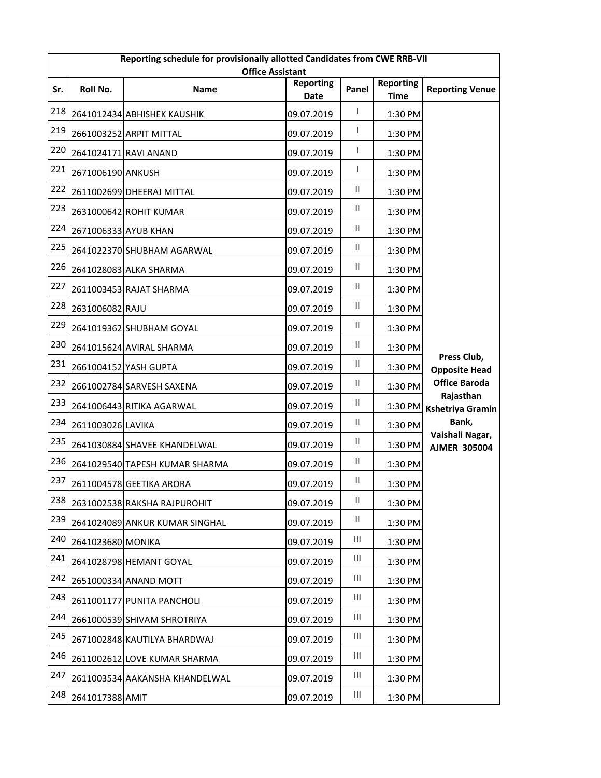|     | Reporting schedule for provisionally allotted Candidates from CWE RRB-VII<br><b>Office Assistant</b> |                                |                          |                                    |                                 |                                        |  |  |
|-----|------------------------------------------------------------------------------------------------------|--------------------------------|--------------------------|------------------------------------|---------------------------------|----------------------------------------|--|--|
| Sr. | Roll No.                                                                                             | Name                           | <b>Reporting</b><br>Date | Panel                              | <b>Reporting</b><br><b>Time</b> | <b>Reporting Venue</b>                 |  |  |
| 218 |                                                                                                      | 2641012434 ABHISHEK KAUSHIK    | 09.07.2019               | I                                  | 1:30 PM                         |                                        |  |  |
| 219 |                                                                                                      | 2661003252 ARPIT MITTAL        | 09.07.2019               | I                                  | 1:30 PM                         |                                        |  |  |
| 220 |                                                                                                      | 2641024171 RAVI ANAND          | 09.07.2019               | L                                  | 1:30 PM                         |                                        |  |  |
| 221 | 2671006190 ANKUSH                                                                                    |                                | 09.07.2019               | L                                  | 1:30 PM                         |                                        |  |  |
| 222 |                                                                                                      | 2611002699 DHEERAJ MITTAL      | 09.07.2019               | Ш                                  | 1:30 PM                         |                                        |  |  |
| 223 |                                                                                                      | 2631000642 ROHIT KUMAR         | 09.07.2019               | Ш                                  | 1:30 PM                         |                                        |  |  |
| 224 | 2671006333 AYUB KHAN                                                                                 |                                | 09.07.2019               | Ш                                  | 1:30 PM                         |                                        |  |  |
| 225 |                                                                                                      | 2641022370 SHUBHAM AGARWAL     | 09.07.2019               | Ш                                  | 1:30 PM                         |                                        |  |  |
| 226 |                                                                                                      | 2641028083 ALKA SHARMA         | 09.07.2019               | Ш.                                 | 1:30 PM                         |                                        |  |  |
| 227 |                                                                                                      | 2611003453 RAJAT SHARMA        | 09.07.2019               | $\mathsf{II}$                      | 1:30 PM                         |                                        |  |  |
| 228 | 2631006082 RAJU                                                                                      |                                | 09.07.2019               | Ш                                  | 1:30 PM                         |                                        |  |  |
| 229 |                                                                                                      | 2641019362 SHUBHAM GOYAL       | 09.07.2019               | $\mathsf{II}$                      | 1:30 PM                         |                                        |  |  |
| 230 |                                                                                                      | 2641015624 AVIRAL SHARMA       | 09.07.2019               | $\mathsf{II}$                      | 1:30 PM                         |                                        |  |  |
| 231 |                                                                                                      | 2661004152 YASH GUPTA          | 09.07.2019               | Ш.                                 | 1:30 PM                         | Press Club,<br><b>Opposite Head</b>    |  |  |
| 232 |                                                                                                      | 2661002784 SARVESH SAXENA      | 09.07.2019               | $\mathsf{II}$                      | 1:30 PM                         | <b>Office Baroda</b>                   |  |  |
| 233 |                                                                                                      | 2641006443 RITIKA AGARWAL      | 09.07.2019               | Ш                                  | 1:30 PM                         | Rajasthan<br><b>Kshetriya Gramin</b>   |  |  |
| 234 | 2611003026 LAVIKA                                                                                    |                                | 09.07.2019               | Ш                                  | 1:30 PM                         | Bank,                                  |  |  |
| 235 |                                                                                                      | 2641030884 SHAVEE KHANDELWAL   | 09.07.2019               | Ш                                  | 1:30 PM                         | Vaishali Nagar,<br><b>AJMER 305004</b> |  |  |
| 236 |                                                                                                      | 2641029540 TAPESH KUMAR SHARMA | 09.07.2019               | Ш                                  | 1:30 PM                         |                                        |  |  |
| 237 |                                                                                                      | 2611004578 GEETIKA ARORA       | 09.07.2019               | Ш                                  | 1:30 PM                         |                                        |  |  |
| 238 |                                                                                                      | 2631002538 RAKSHA RAJPUROHIT   | 09.07.2019               | Ш                                  | 1:30 PM                         |                                        |  |  |
| 239 |                                                                                                      | 2641024089 ANKUR KUMAR SINGHAL | 09.07.2019               | Ш                                  | 1:30 PM                         |                                        |  |  |
| 240 | 2641023680 MONIKA                                                                                    |                                | 09.07.2019               | Ш                                  | 1:30 PM                         |                                        |  |  |
| 241 |                                                                                                      | 2641028798 HEMANT GOYAL        | 09.07.2019               | Ш                                  | 1:30 PM                         |                                        |  |  |
| 242 |                                                                                                      | 2651000334 ANAND MOTT          | 09.07.2019               | Ш                                  | 1:30 PM                         |                                        |  |  |
| 243 |                                                                                                      | 2611001177 PUNITA PANCHOLI     | 09.07.2019               | Ш                                  | 1:30 PM                         |                                        |  |  |
| 244 |                                                                                                      | 2661000539 SHIVAM SHROTRIYA    | 09.07.2019               | $\ensuremath{\mathsf{III}}\xspace$ | 1:30 PM                         |                                        |  |  |
| 245 |                                                                                                      | 2671002848 KAUTILYA BHARDWAJ   | 09.07.2019               | Ш                                  | 1:30 PM                         |                                        |  |  |
| 246 |                                                                                                      | 2611002612 LOVE KUMAR SHARMA   | 09.07.2019               | Ш                                  | 1:30 PM                         |                                        |  |  |
| 247 |                                                                                                      | 2611003534 AAKANSHA KHANDELWAL | 09.07.2019               | Ш                                  | 1:30 PM                         |                                        |  |  |
| 248 | 2641017388 AMIT                                                                                      |                                | 09.07.2019               | Ш                                  | 1:30 PM                         |                                        |  |  |